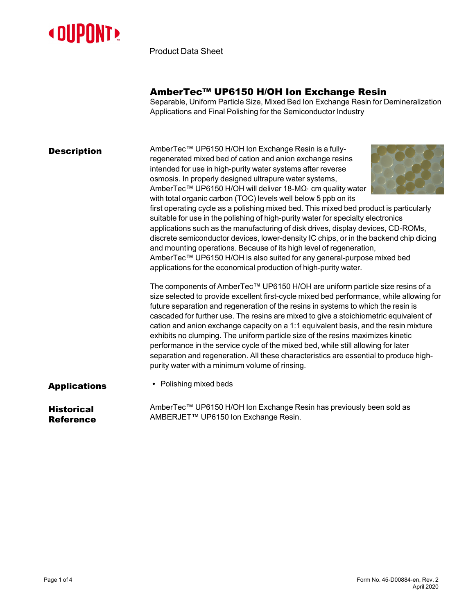

Product Data Sheet

# AmberTec™ UP6150 H/OH Ion Exchange Resin

Separable, Uniform Particle Size, Mixed Bed Ion Exchange Resin for Demineralization Applications and Final Polishing for the Semiconductor Industry

AmberTec™ UP6150 H/OH Ion Exchange Resin is a fullyregenerated mixed bed of cation and anion exchange resins intended for use in high-purity water systems after reverse osmosis. In properly designed ultrapure water systems, AmberTec™ UP6150 H/OH will deliver 18-MΩ⋅ cm quality water with total organic carbon (TOC) levels well below 5 ppb on its



first operating cycle as a polishing mixed bed. This mixed bed product is particularly suitable for use in the polishing of high-purity water for specialty electronics applications such as the manufacturing of disk drives, display devices, CD-ROMs, discrete semiconductor devices, lower-density IC chips, or in the backend chip dicing and mounting operations. Because of its high level of regeneration, AmberTec™ UP6150 H/OH is also suited for any general-purpose mixed bed applications for the economical production of high-purity water.

The components of AmberTec™ UP6150 H/OH are uniform particle size resins of a size selected to provide excellent first-cycle mixed bed performance, while allowing for future separation and regeneration of the resins in systems to which the resin is cascaded for further use. The resins are mixed to give a stoichiometric equivalent of cation and anion exchange capacity on a 1:1 equivalent basis, and the resin mixture exhibits no clumping. The uniform particle size of the resins maximizes kinetic performance in the service cycle of the mixed bed, while still allowing for later separation and regeneration. All these characteristics are essential to produce highpurity water with a minimum volume of rinsing.

- 
- **Applications expanding mixed beds**

**Historical** Reference AmberTec™ UP6150 H/OH Ion Exchange Resin has previously been sold as AMBERJET™ UP6150 Ion Exchange Resin.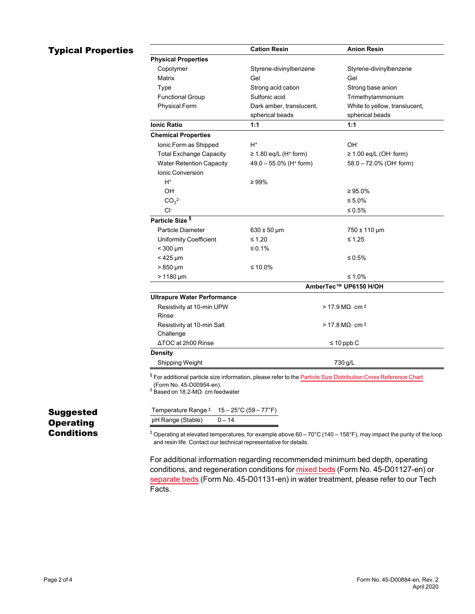### **Typical Properties**

|                                    | <b>Cation Resin</b>                    | <b>Anion Resin</b>                   |
|------------------------------------|----------------------------------------|--------------------------------------|
| <b>Physical Properties</b>         |                                        |                                      |
| Copolymer                          | Styrene-divinylbenzene                 | Styrene-divinylbenzene               |
| Matrix                             | Gel                                    | Gel                                  |
| Type                               | Strong acid cation                     | Strong base anion                    |
| <b>Functional Group</b>            | Sulfonic acid                          | Trimethylammonium                    |
| <b>Physical Form</b>               | Dark amber, translucent,               | White to yellow, translucent,        |
|                                    | spherical beads                        | spherical beads                      |
| <b>Ionic Ratio</b>                 | 1:1                                    | 1:1                                  |
| <b>Chemical Properties</b>         |                                        |                                      |
| Ionic Form as Shipped              | H+                                     | OH-                                  |
| <b>Total Exchange Capacity</b>     | $\geq$ 1.80 eq/L (H <sup>+</sup> form) | $\geq$ 1.00 eq/L (OH $\cdot$ form)   |
| <b>Water Retention Capacity</b>    | $49.0 - 55.0\%$ (H <sup>+</sup> form)  | 58.0 - 72.0% (OH- form)              |
| <b>Ionic Conversion</b>            |                                        |                                      |
| $H^+$                              | $\geq 99\%$                            |                                      |
| OH <sup>-</sup>                    |                                        | $\geq 95.0\%$                        |
| CO <sub>3</sub> <sup>2</sup>       |                                        | ≤ 5.0%                               |
| Cŀ                                 |                                        | $\leq 0.5\%$                         |
| Particle Size <sup>§</sup>         |                                        |                                      |
| <b>Particle Diameter</b>           | $630 \pm 50 \,\mu m$                   | 750 ± 110 µm                         |
| <b>Uniformity Coefficient</b>      | $≤ 1.20$                               | $≤ 1.25$                             |
| $<$ 300 µm                         | ≤ 0.1%                                 |                                      |
| $<$ 425 µm                         |                                        | $\leq 0.5\%$                         |
| $>850 \mu m$                       | ≤ 10.0%                                |                                      |
| $> 1180 \mu m$                     |                                        | ≤ 1.0%                               |
|                                    | AmberTec™ UP6150 H/OH                  |                                      |
| <b>Ultrapure Water Performance</b> |                                        |                                      |
| Resistivity at 10-min UPW          |                                        | $>$ 17.9 MQ $\cdot$ cm $^{\ddagger}$ |
| Rinse                              |                                        |                                      |
| Resistivity at 10-min Salt         |                                        | $>$ 17.8 MQ $\cdot$ cm $^{\ddagger}$ |
| Challenge                          |                                        |                                      |
| ΔTOC at 2h00 Rinse                 |                                        | $\leq 10$ ppb C                      |
| <b>Density</b>                     |                                        |                                      |
| Shipping Weight                    |                                        | 730 g/L                              |

| Suggested  |  |
|------------|--|
| Operating  |  |
| Conditions |  |

Temperature Range  $\pm 15 - 25^{\circ}$ C (59 – 77 $^{\circ}$ F)  $pH$  Range (Stable)  $0 - 14$ 

 $^{\ddagger}$  Operating at elevated temperatures, for example above 60 – 70°C (140 – 158°F), may impact the purity of the loop and resin life. Contact our technical representative for details.

For additional information regarding recommended minimum bed depth, operating conditions, and regeneration conditions for [mixed](https://www.dupont.com/content/dam/dupont/amer/us/en/water-solutions/public/documents/en/45-D01127-en.pdf) beds (Form No. 45-D01127-en) or [separate](https://www.dupont.com/content/dam/dupont/amer/us/en/water-solutions/public/documents/en/45-D01131-en.pdf) beds (Form No. 45-D01131-en) in water treatment, please refer to our Tech Facts.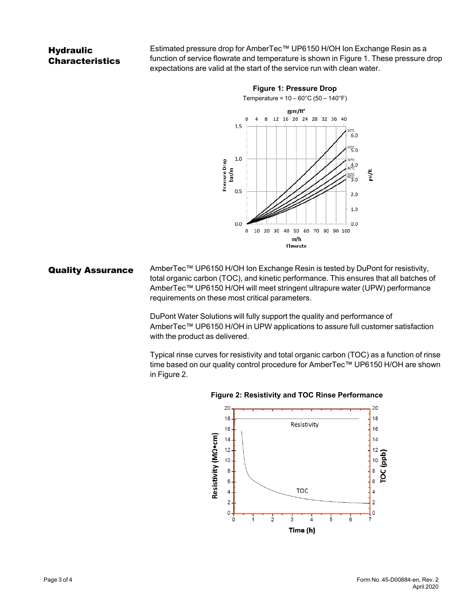## **Hydraulic** Characteristics

Estimated pressure drop for AmberTec™ UP6150 H/OH Ion Exchange Resin as a function of service flowrate and temperature is shown in [Figure 1](#page-2-0). These pressure drop expectations are valid at the start of the service run with clean water.

<span id="page-2-0"></span>

Quality Assurance AmberTec™ UP6150 H/OH Ion Exchange Resin is tested by DuPont for resistivity, total organic carbon (TOC), and kinetic performance. This ensures that all batches of AmberTec™ UP6150 H/OH will meet stringent ultrapure water (UPW) performance requirements on these most critical parameters.

> DuPont Water Solutions will fully support the quality and performance of AmberTec™ UP6150 H/OH in UPW applications to assure full customer satisfaction with the product as delivered.

Typical rinse curves for resistivity and total organic carbon (TOC) as a function of rinse time based on our quality control procedure for AmberTec™ UP6150 H/OH are shown in [Figure 2.](#page-2-1)



#### <span id="page-2-1"></span>**Figure 2: Resistivity and TOC Rinse Performance**

Page 3 of 4 Form No. 45-D00884-en, Rev. 2 April 2020